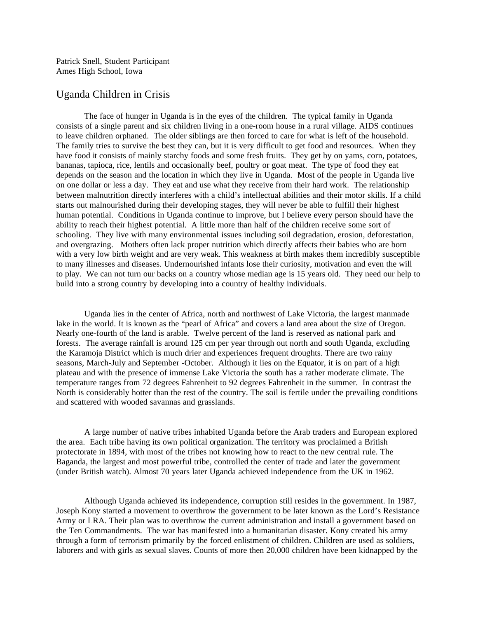Patrick Snell, Student Participant Ames High School, Iowa

## Uganda Children in Crisis

The face of hunger in Uganda is in the eyes of the children. The typical family in Uganda consists of a single parent and six children living in a one-room house in a rural village. AIDS continues to leave children orphaned. The older siblings are then forced to care for what is left of the household. The family tries to survive the best they can, but it is very difficult to get food and resources. When they have food it consists of mainly starchy foods and some fresh fruits. They get by on yams, corn, potatoes, bananas, tapioca, rice, lentils and occasionally beef, poultry or goat meat. The type of food they eat depends on the season and the location in which they live in Uganda. Most of the people in Uganda live on one dollar or less a day. They eat and use what they receive from their hard work. The relationship between malnutrition directly interferes with a child's intellectual abilities and their motor skills. If a child starts out malnourished during their developing stages, they will never be able to fulfill their highest human potential. Conditions in Uganda continue to improve, but I believe every person should have the ability to reach their highest potential. A little more than half of the children receive some sort of schooling. They live with many environmental issues including soil degradation, erosion, deforestation, and overgrazing. Mothers often lack proper nutrition which directly affects their babies who are born with a very low birth weight and are very weak. This weakness at birth makes them incredibly susceptible to many illnesses and diseases. Undernourished infants lose their curiosity, motivation and even the will to play. We can not turn our backs on a country whose median age is 15 years old. They need our help to build into a strong country by developing into a country of healthy individuals.

Uganda lies in the center of Africa, north and northwest of Lake Victoria, the largest manmade lake in the world. It is known as the "pearl of Africa" and covers a land area about the size of Oregon. Nearly one-fourth of the land is arable. Twelve percent of the land is reserved as national park and forests. The average rainfall is around 125 cm per year through out north and south Uganda, excluding the Karamoja District which is much drier and experiences frequent droughts. There are two rainy seasons, March-July and September -October. Although it lies on the Equator, it is on part of a high plateau and with the presence of immense Lake Victoria the south has a rather moderate climate. The temperature ranges from 72 degrees Fahrenheit to 92 degrees Fahrenheit in the summer. In contrast the North is considerably hotter than the rest of the country. The soil is fertile under the prevailing conditions and scattered with wooded savannas and grasslands.

A large number of native tribes inhabited Uganda before the Arab traders and European explored the area. Each tribe having its own political organization. The territory was proclaimed a British protectorate in 1894, with most of the tribes not knowing how to react to the new central rule. The Baganda, the largest and most powerful tribe, controlled the center of trade and later the government (under British watch). Almost 70 years later Uganda achieved independence from the UK in 1962.

Although Uganda achieved its independence, corruption still resides in the government. In 1987, Joseph Kony started a movement to overthrow the government to be later known as the Lord's Resistance Army or LRA. Their plan was to overthrow the current administration and install a government based on the Ten Commandments. The war has manifested into a humanitarian disaster. Kony created his army through a form of terrorism primarily by the forced enlistment of children. Children are used as soldiers, laborers and with girls as sexual slaves. Counts of more then 20,000 children have been kidnapped by the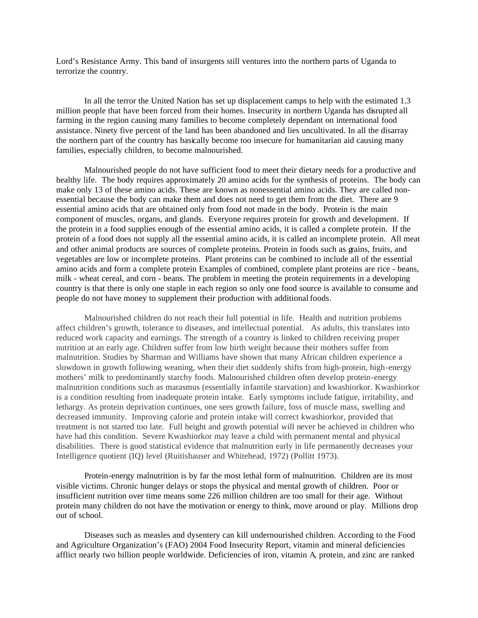Lord's Resistance Army. This band of insurgents still ventures into the northern parts of Uganda to terrorize the country.

In all the terror the United Nation has set up displacement camps to help with the estimated 1.3 million people that have been forced from their homes. Insecurity in northern Uganda has disrupted all farming in the region causing many families to become completely dependant on international food assistance. Ninety five percent of the land has been abandoned and lies uncultivated. In all the disarray the northern part of the country has basically become too insecure for humanitarian aid causing many families, especially children, to become malnourished.

Malnourished people do not have sufficient food to meet their dietary needs for a productive and healthy life. The body requires approximately 20 amino acids for the synthesis of proteins. The body can make only 13 of these amino acids. These are known as nonessential amino acids. They are called nonessential because the body can make them and does not need to get them from the diet. There are 9 essential amino acids that are obtained only from food not made in the body. Protein is the main component of muscles, organs, and glands. Everyone requires protein for growth and development. If the protein in a food supplies enough of the essential amino acids, it is called a complete protein. If the protein of a food does not supply all the essential amino acids, it is called an incomplete protein. All meat and other animal products are sources of complete proteins. Protein in foods such as grains, fruits, and vegetables are low or incomplete proteins. Plant proteins can be combined to include all of the essential amino acids and form a complete protein Examples of combined, complete plant proteins are rice - beans, milk - wheat cereal, and corn - beans. The problem in meeting the protein requirements in a developing country is that there is only one staple in each region so only one food source is available to consume and people do not have money to supplement their production with additional foods.

Malnourished children do not reach their full potential in life. Health and nutrition problems affect children's growth, tolerance to diseases, and intellectual potential. As adults, this translates into reduced work capacity and earnings. The strength of a country is linked to children receiving proper nutrition at an early age. Children suffer from low birth weight because their mothers suffer from malnutrition. Studies by Sharman and Williams have shown that many African children experience a slowdown in growth following weaning, when their diet suddenly shifts from high-protein, high-energy mothers' milk to predominantly starchy foods. Malnourished children often develop protein-energy malnutrition conditions such as marasmus (essentially infantile starvation) and kwashiorkor. Kwashiorkor is a condition resulting from inadequate protein intake. Early symptoms include fatigue, irritability, and lethargy. As protein deprivation continues, one sees growth failure, loss of muscle mass, swelling and decreased immunity. Improving calorie and protein intake will correct kwashiorkor, provided that treatment is not started too late. Full height and growth potential will never be achieved in children who have had this condition. Severe Kwashiorkor may leave a child with permanent mental and physical disabilities. There is good statistical evidence that malnutrition early in life permanently decreases your Intelligence quotient (IQ) level (Ruitishauser and Whitehead, 1972) (Pollitt 1973).

Protein-energy malnutrition is by far the most lethal form of malnutrition. Children are its most visible victims. Chronic hunger delays or stops the physical and mental growth of children. Poor or insufficient nutrition over time means some 226 million children are too small for their age. Without protein many children do not have the motivation or energy to think, move around or play. Millions drop out of school.

Diseases such as measles and dysentery can kill undernourished children. According to the Food and Agriculture Organization's (FAO) 2004 Food Insecurity Report, vitamin and mineral deficiencies afflict nearly two billion people worldwide. Deficiencies of iron, vitamin A, protein, and zinc are ranked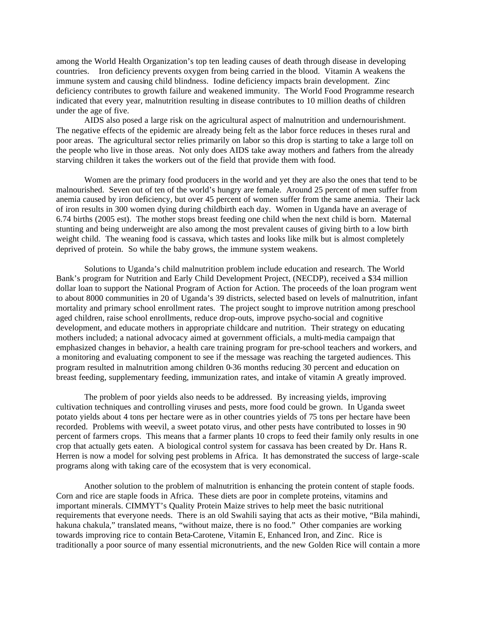among the World Health Organization's top ten leading causes of death through disease in developing countries. Iron deficiency prevents oxygen from being carried in the blood. Vitamin A weakens the immune system and causing child blindness. Iodine deficiency impacts brain development. Zinc deficiency contributes to growth failure and weakened immunity. The World Food Programme research indicated that every year, malnutrition resulting in disease contributes to 10 million deaths of children under the age of five.

AIDS also posed a large risk on the agricultural aspect of malnutrition and undernourishment. The negative effects of the epidemic are already being felt as the labor force reduces in theses rural and poor areas. The agricultural sector relies primarily on labor so this drop is starting to take a large toll on the people who live in those areas. Not only does AIDS take away mothers and fathers from the already starving children it takes the workers out of the field that provide them with food.

Women are the primary food producers in the world and yet they are also the ones that tend to be malnourished. Seven out of ten of the world's hungry are female. Around 25 percent of men suffer from anemia caused by iron deficiency, but over 45 percent of women suffer from the same anemia. Their lack of iron results in 300 women dying during childbirth each day. Women in Uganda have an average of 6.74 births (2005 est). The mother stops breast feeding one child when the next child is born. Maternal stunting and being underweight are also among the most prevalent causes of giving birth to a low birth weight child. The weaning food is cassava, which tastes and looks like milk but is almost completely deprived of protein. So while the baby grows, the immune system weakens.

Solutions to Uganda's child malnutrition problem include education and research. The World Bank's program for Nutrition and Early Child Development Project, (NECDP), received a \$34 million dollar loan to support the National Program of Action for Action. The proceeds of the loan program went to about 8000 communities in 20 of Uganda's 39 districts, selected based on levels of malnutrition, infant mortality and primary school enrollment rates. The project sought to improve nutrition among preschool aged children, raise school enrollments, reduce drop-outs, improve psycho-social and cognitive development, and educate mothers in appropriate childcare and nutrition. Their strategy on educating mothers included; a national advocacy aimed at government officials, a multi-media campaign that emphasized changes in behavior, a health care training program for pre-school teachers and workers, and a monitoring and evaluating component to see if the message was reaching the targeted audiences. This program resulted in malnutrition among children 0-36 months reducing 30 percent and education on breast feeding, supplementary feeding, immunization rates, and intake of vitamin A greatly improved.

The problem of poor yields also needs to be addressed. By increasing yields, improving cultivation techniques and controlling viruses and pests, more food could be grown. In Uganda sweet potato yields about 4 tons per hectare were as in other countries yields of 75 tons per hectare have been recorded. Problems with weevil, a sweet potato virus, and other pests have contributed to losses in 90 percent of farmers crops. This means that a farmer plants 10 crops to feed their family only results in one crop that actually gets eaten. A biological control system for cassava has been created by Dr. Hans R. Herren is now a model for solving pest problems in Africa. It has demonstrated the success of large-scale programs along with taking care of the ecosystem that is very economical.

Another solution to the problem of malnutrition is enhancing the protein content of staple foods. Corn and rice are staple foods in Africa. These diets are poor in complete proteins, vitamins and important minerals. CIMMYT's Quality Protein Maize strives to help meet the basic nutritional requirements that everyone needs. There is an old Swahili saying that acts as their motive, "Bila mahindi, hakuna chakula," translated means, "without maize, there is no food." Other companies are working towards improving rice to contain Beta-Carotene, Vitamin E, Enhanced Iron, and Zinc. Rice is traditionally a poor source of many essential micronutrients, and the new Golden Rice will contain a more